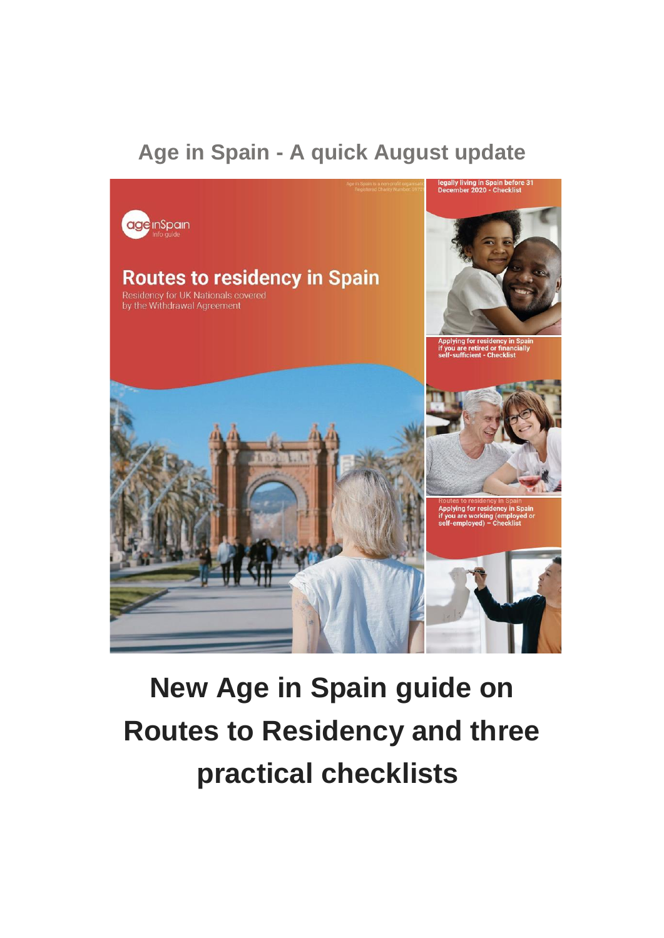### **Age in Spain - A quick August update**



# **New Age in Spain guide on Routes to Residency and three practical checklists**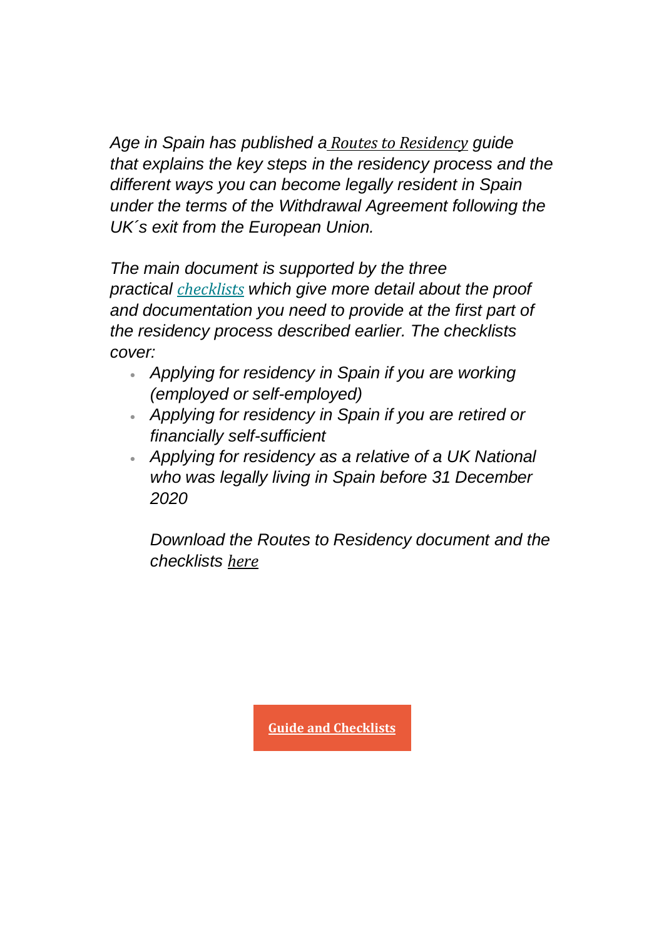*Age in Spain has published a Routes to [Residency](https://emea01.safelinks.protection.outlook.com/?url=https%3A%2F%2Fageinspain.us4.list-manage.com%2Ftrack%2Fclick%3Fu%3Db49fe9a7bb6dd3237cef76f16%26id%3D9c22c6076b%26e%3D8f5b935247&data=04%7C01%7C%7C5283f26bf6354abbaaa708d95bef358c%7C84df9e7fe9f640afb435aaaaaaaaaaaa%7C1%7C0%7C637641905221774532%7CUnknown%7CTWFpbGZsb3d8eyJWIjoiMC4wLjAwMDAiLCJQIjoiV2luMzIiLCJBTiI6Ik1haWwiLCJXVCI6Mn0%3D%7C1000&sdata=YQsj6K%2FCTslpXSOvsnhcNePUg1OTlkYfzEntrxDmDds%3D&reserved=0) guide that explains the key steps in the residency process and the different ways you can become legally resident in Spain under the terms of the Withdrawal Agreement following the UK´s exit from the European Union.*

*The main document is supported by the three practical [ch](https://emea01.safelinks.protection.outlook.com/?url=https%3A%2F%2Fageinspain.us4.list-manage.com%2Ftrack%2Fclick%3Fu%3Db49fe9a7bb6dd3237cef76f16%26id%3D022f575240%26e%3D8f5b935247&data=04%7C01%7C%7C5283f26bf6354abbaaa708d95bef358c%7C84df9e7fe9f640afb435aaaaaaaaaaaa%7C1%7C0%7C637641905221784497%7CUnknown%7CTWFpbGZsb3d8eyJWIjoiMC4wLjAwMDAiLCJQIjoiV2luMzIiLCJBTiI6Ik1haWwiLCJXVCI6Mn0%3D%7C1000&sdata=12n0dpmBa9cReItbclb%2BGDgZ%2BxZTGTun%2F1nYOlQSP50%3D&reserved=0)[ecklists](https://emea01.safelinks.protection.outlook.com/?url=https%3A%2F%2Fageinspain.us4.list-manage.com%2Ftrack%2Fclick%3Fu%3Db49fe9a7bb6dd3237cef76f16%26id%3D0489c1dbd7%26e%3D8f5b935247&data=04%7C01%7C%7C5283f26bf6354abbaaa708d95bef358c%7C84df9e7fe9f640afb435aaaaaaaaaaaa%7C1%7C0%7C637641905221784497%7CUnknown%7CTWFpbGZsb3d8eyJWIjoiMC4wLjAwMDAiLCJQIjoiV2luMzIiLCJBTiI6Ik1haWwiLCJXVCI6Mn0%3D%7C1000&sdata=YMF4DLop9OhI9CJ0eA8AVTtZZtmlownaKUEyTGhifPc%3D&reserved=0) which give more detail about the proof and documentation you need to provide at the first part of the residency process described earlier. The checklists cover:*

- *Applying for residency in Spain if you are working (employed or self-employed)*
- *Applying for residency in Spain if you are retired or financially self-sufficient*
- *Applying for residency as a relative of a UK National who was legally living in Spain before 31 December 2020*

*Download the Routes to Residency document and the checklists [here](https://emea01.safelinks.protection.outlook.com/?url=https%3A%2F%2Fageinspain.us4.list-manage.com%2Ftrack%2Fclick%3Fu%3Db49fe9a7bb6dd3237cef76f16%26id%3Dcb866479ba%26e%3D8f5b935247&data=04%7C01%7C%7C5283f26bf6354abbaaa708d95bef358c%7C84df9e7fe9f640afb435aaaaaaaaaaaa%7C1%7C0%7C637641905221784497%7CUnknown%7CTWFpbGZsb3d8eyJWIjoiMC4wLjAwMDAiLCJQIjoiV2luMzIiLCJBTiI6Ik1haWwiLCJXVCI6Mn0%3D%7C1000&sdata=2LlA4f963xepcbkIrdyZaxi3b7Kw0RHO4tuOXdwrBME%3D&reserved=0)*

**Guide and [Checklists](https://emea01.safelinks.protection.outlook.com/?url=https%3A%2F%2Fageinspain.us4.list-manage.com%2Ftrack%2Fclick%3Fu%3Db49fe9a7bb6dd3237cef76f16%26id%3De3a074f53d%26e%3D8f5b935247&data=04%7C01%7C%7C5283f26bf6354abbaaa708d95bef358c%7C84df9e7fe9f640afb435aaaaaaaaaaaa%7C1%7C0%7C637641905221794445%7CUnknown%7CTWFpbGZsb3d8eyJWIjoiMC4wLjAwMDAiLCJQIjoiV2luMzIiLCJBTiI6Ik1haWwiLCJXVCI6Mn0%3D%7C1000&sdata=pVSp6MaP%2BXD16PoDJRgnjTmRxMZW%2F6oxbo9I6sl5bQM%3D&reserved=0)**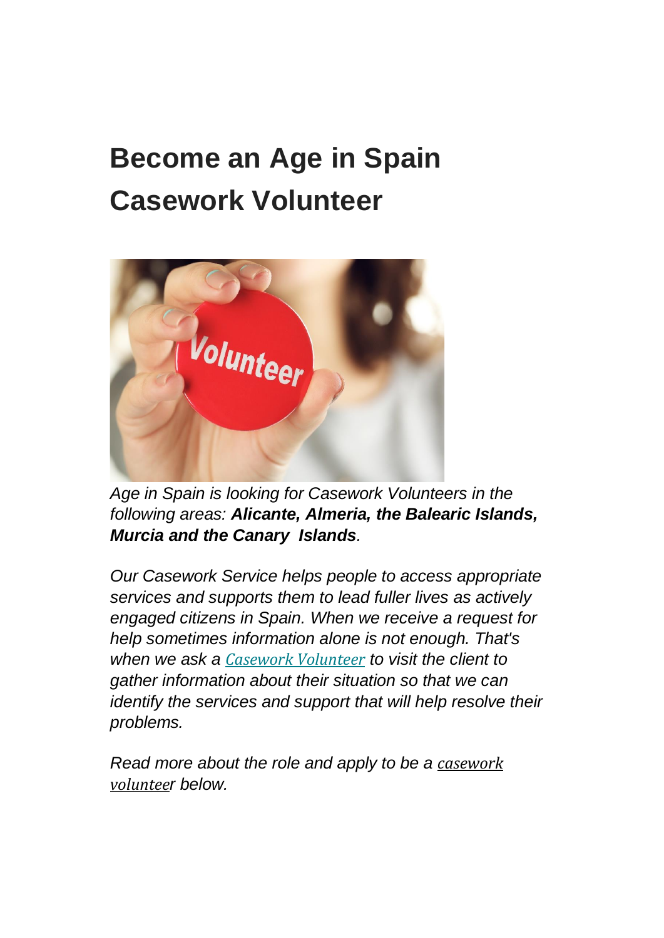## **Become an Age in Spain Casework Volunteer**



*Age in Spain is looking for Casework Volunteers in the following areas: Alicante, Almeria, the Balearic Islands, Murcia and the Canary Islands.*

*Our Casework Service helps people to access appropriate services and supports them to lead fuller lives as actively engaged citizens in Spain. When we receive a request for help sometimes information alone is not enough. That's when we ask a Casework [Volunteer](https://emea01.safelinks.protection.outlook.com/?url=https%3A%2F%2Fageinspain.us4.list-manage.com%2Ftrack%2Fclick%3Fu%3Db49fe9a7bb6dd3237cef76f16%26id%3D055f3f7fd1%26e%3D8f5b935247&data=04%7C01%7C%7C5283f26bf6354abbaaa708d95bef358c%7C84df9e7fe9f640afb435aaaaaaaaaaaa%7C1%7C0%7C637641905221804409%7CUnknown%7CTWFpbGZsb3d8eyJWIjoiMC4wLjAwMDAiLCJQIjoiV2luMzIiLCJBTiI6Ik1haWwiLCJXVCI6Mn0%3D%7C1000&sdata=FdjCQFsOoMcPj1le%2FaRwwumR6AfVGB7oawYPSLe1Ixc%3D&reserved=0) to visit the client to gather information about their situation so that we can identify the services and support that will help resolve their problems.*

*Read more about the role and apply to be a [casework](https://emea01.safelinks.protection.outlook.com/?url=https%3A%2F%2Fageinspain.us4.list-manage.com%2Ftrack%2Fclick%3Fu%3Db49fe9a7bb6dd3237cef76f16%26id%3D68cf4757d2%26e%3D8f5b935247&data=04%7C01%7C%7C5283f26bf6354abbaaa708d95bef358c%7C84df9e7fe9f640afb435aaaaaaaaaaaa%7C1%7C0%7C637641905221804409%7CUnknown%7CTWFpbGZsb3d8eyJWIjoiMC4wLjAwMDAiLCJQIjoiV2luMzIiLCJBTiI6Ik1haWwiLCJXVCI6Mn0%3D%7C1000&sdata=DS8yhUMGMGNqjVIAfAtnJTP9VqtN1F849TsMhSXGII0%3D&reserved=0) [voluntee](https://emea01.safelinks.protection.outlook.com/?url=https%3A%2F%2Fageinspain.us4.list-manage.com%2Ftrack%2Fclick%3Fu%3Db49fe9a7bb6dd3237cef76f16%26id%3D68cf4757d2%26e%3D8f5b935247&data=04%7C01%7C%7C5283f26bf6354abbaaa708d95bef358c%7C84df9e7fe9f640afb435aaaaaaaaaaaa%7C1%7C0%7C637641905221804409%7CUnknown%7CTWFpbGZsb3d8eyJWIjoiMC4wLjAwMDAiLCJQIjoiV2luMzIiLCJBTiI6Ik1haWwiLCJXVCI6Mn0%3D%7C1000&sdata=DS8yhUMGMGNqjVIAfAtnJTP9VqtN1F849TsMhSXGII0%3D&reserved=0)r below.*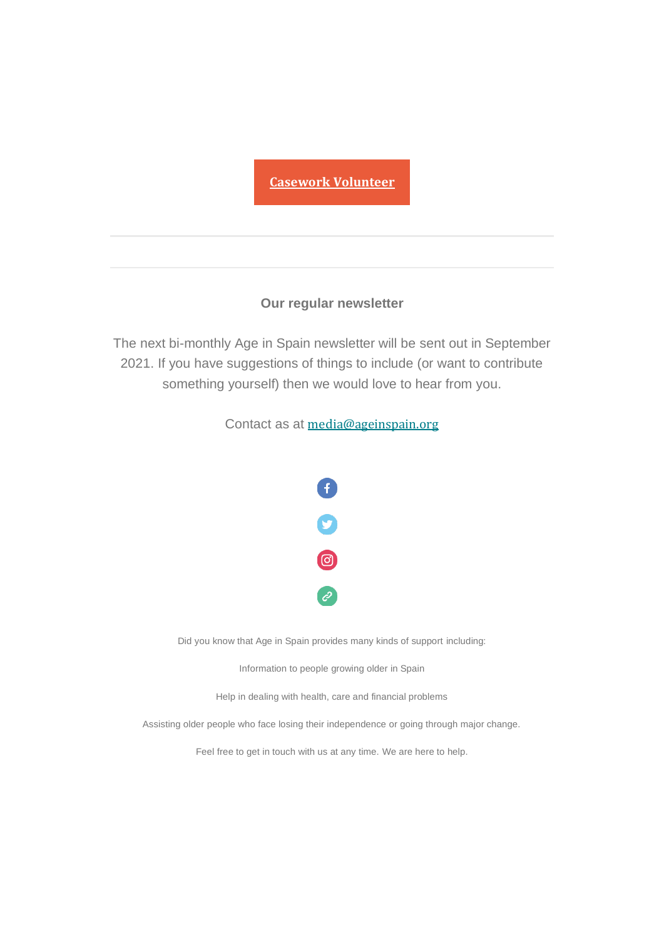### **Casework [Volunteer](https://emea01.safelinks.protection.outlook.com/?url=https%3A%2F%2Fageinspain.us4.list-manage.com%2Ftrack%2Fclick%3Fu%3Db49fe9a7bb6dd3237cef76f16%26id%3D2c20f6e047%26e%3D8f5b935247&data=04%7C01%7C%7C5283f26bf6354abbaaa708d95bef358c%7C84df9e7fe9f640afb435aaaaaaaaaaaa%7C1%7C0%7C637641905221814365%7CUnknown%7CTWFpbGZsb3d8eyJWIjoiMC4wLjAwMDAiLCJQIjoiV2luMzIiLCJBTiI6Ik1haWwiLCJXVCI6Mn0%3D%7C1000&sdata=sdG7J69OpqNVDQ0ocscxKLfkIghsHDqdsjSaesgPEvA%3D&reserved=0)**

#### **Our regular newsletter**

The next bi-monthly Age in Spain newsletter will be sent out in September 2021. If you have suggestions of things to include (or want to contribute something yourself) then we would love to hear from you.

Contact as at [media@ageinspain.org](mailto:media@ageinspain.org?subject=Newsletter%20Content%20Suggestions&body=Please%20pass%20on%20the%20following%20suggestion%20for%20the%20Age%20in%20Spain%20newsletter%3A)



Did you know that Age in Spain provides many kinds of support including:

Information to people growing older in Spain

Help in dealing with health, care and financial problems

Assisting older people who face losing their independence or going through major change.

Feel free to get in touch with us at any time. We are here to help.